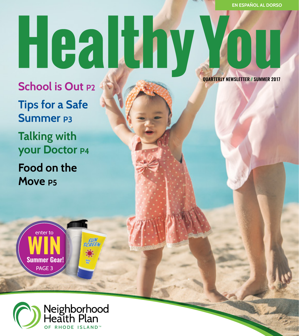## Healthy YOU

**School is Out P2 Tips for a Safe Summer P3 Talking with your Doctor P4 Food on the Move P5**

 **QUARTERLY NEWSLETTER // SUMMER 2017**



**Summer Gear!** PAGE 3

**WIN**

enter to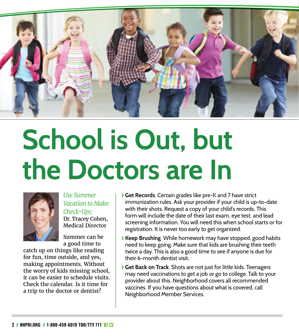

## **School is Out, but the Doctors are In**



*Use Summer Vacation to Make Check-Ups:* Dr. Tracey Cohen,

Medical Director Summer can be

a good time to

catch up on things like reading for fun, time outside, and yes, making appointments. Without the worry of kids missing school, it can be easier to schedule visits. Check the calendar. Is it time for a trip to the doctor or dentist?

- \ **Get Records**. Certain grades like pre-K and 7 have strict immunization rules. Ask your provider if your child is up-to-date with their shots. Request a copy of your child's records. This form will include the date of their last exam, eye test, and lead screening information. You will need this when school starts or for registration. It is never too early to get organized.
- \ **Keep Brushing**. While homework may have stopped, good habits need to keep going. Make sure that kids are brushing their teeth twice a day. This is also a good time to see if anyone is due for their 6-month dentist visit.
- \ **Get Back on Track**. Shots are not just for little kids. Teenagers may need vaccinations to get a job or go to college. Talk to your provider about this. Neighborhood covers all recommended vaccines. If you have questions about what is covered, call Neighborhood Member Services.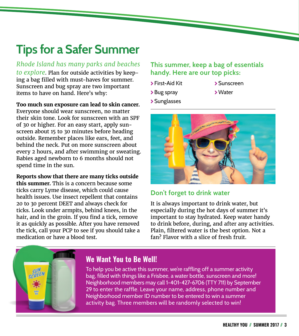### **Tips for a Safer Summer**

*Rhode Island has many parks and beaches to explore*. Plan for outside activities by keeping a bag filled with must-haves for summer. Sunscreen and bug spray are two important items to have on hand. Here's why:

**Too much sun exposure can lead to skin cancer.**

Everyone should wear sunscreen, no matter their skin tone. Look for sunscreen with an SPF of 30 or higher. For an easy start, apply sunscreen about 15 to 30 minutes before heading outside. Remember places like ears, feet, and behind the neck. Put on more sunscreen about every 2 hours, and after swimming or sweating. Babies aged newborn to 6 months should not spend time in the sun.

**Reports show that there are many ticks outside this summer.** This is a concern because some ticks carry Lyme disease, which could cause health issues. Use insect repellent that contains 20 to 30 percent DEET and always check for ticks. Look under armpits, behind knees, in the hair, and in the groin. If you find a tick, remove it as quickly as possible. After you have removed the tick, call your PCP to see if you should take a medication or have a blood test.

#### **This summer, keep a bag of essentials handy. Here are our top picks:**

- \ First-Aid Kit
- > Bug spray
	- \Water

\ Sunscreen

\ Sunglasses



### **Don't forget to drink water**

It is always important to drink water, but especially during the hot days of summer it's important to stay hydrated. Keep water handy to drink before, during, and after any activities. Plain, filtered water is the best option. Not a fan? Flavor with a slice of fresh fruit.



### **We Want You to Be Well!**

To help you be active this summer, we're raffling off a summer activity bag, filled with things like a Frisbee, a water bottle, sunscreen and more! Neighborhood members may call 1-401-427-6706 (TTY 711) by September 29 to enter the raffle. Leave your name, address, phone number and Neighborhood member ID number to be entered to win a summer activity bag. Three members will be randomly selected to win!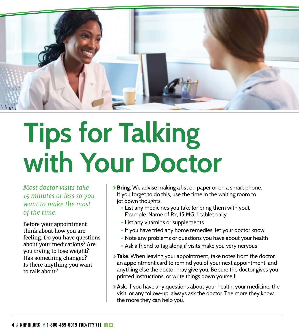

### **Tips for Talking with Your Doctor**

*Most doctor visits take 15 minutes or less so you want to make the most of the time.*

Before your appointment think about how you are feeling. Do you have questions about your medications? Are you trying to lose weight? Has something changed? Is there anything you want to talk about?

- \ **Bring**. We advise making a list on paper or on a smart phone. If you forget to do this, use the time in the waiting room to jot down thoughts.
	- **•** List any medicines you take (or bring them with you). Example: Name of Rx, 15 MG, 1 tablet daily
	- **•** List any vitamins or supplements
	- **•** If you have tried any home remedies, let your doctor know
	- **•** Note any problems or questions you have about your health
	- **•** Ask a friend to tag along if visits make you very nervous
- **Take**. When leaving your appointment, take notes from the doctor, an appointment card to remind you of your next appointment, and anything else the doctor may give you. Be sure the doctor gives you printed instructions, or write things down yourself.
- \ **Ask**. If you have any questions about your health, your medicine, the visit, or any follow-up, always ask the doctor. The more they know, the more they can help you.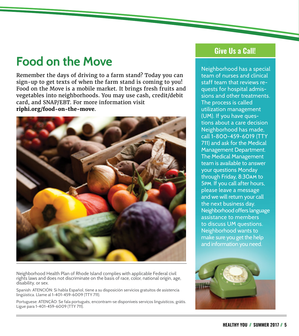### **Food on the Move**

Remember the days of driving to a farm stand? Today you can sign-up to get texts of when the farm stand is coming to you! Food on the Move is a mobile market. It brings fresh fruits and vegetables into neighborhoods. You may use cash, credit/debit card, and SNAP/EBT. For more information visit **riphi.org/food-on-the-move**.



Neighborhood Health Plan of Rhode Island complies with applicable Federal civil rights laws and does not discriminate on the basis of race, color, national origin, age, disability, or sex.

Spanish: ATENCIÓN: Si habla Español, tiene a su disposición servicios gratuitos de asistencia lingüística. Llame al 1-401-459-6009 (TTY 711).

Portuguese: ATENÇÃO: Se fala português, encontram-se disponíveis serviços linguísticos, grátis. Ligue para 1-401-459-6009 (TTY 711).

### **Give Us a Call!**

Neighborhood has a special team of nurses and clinical staff team that reviews requests for hospital admissions and other treatments. The process is called utilization management (UM). If you have questions about a care decision Neighborhood has made, call 1-800-459-6019 (TTY 711) and ask for the Medical Management Department. The Medical Management team is available to answer your questions Monday through Friday, 8:30am to 5pm. If you call after hours, please leave a message and we will return your call the next business day. Neighborhood offers language assistance to members to discuss UM questions. Neighborhood wants to make sure you get the help and information you need.